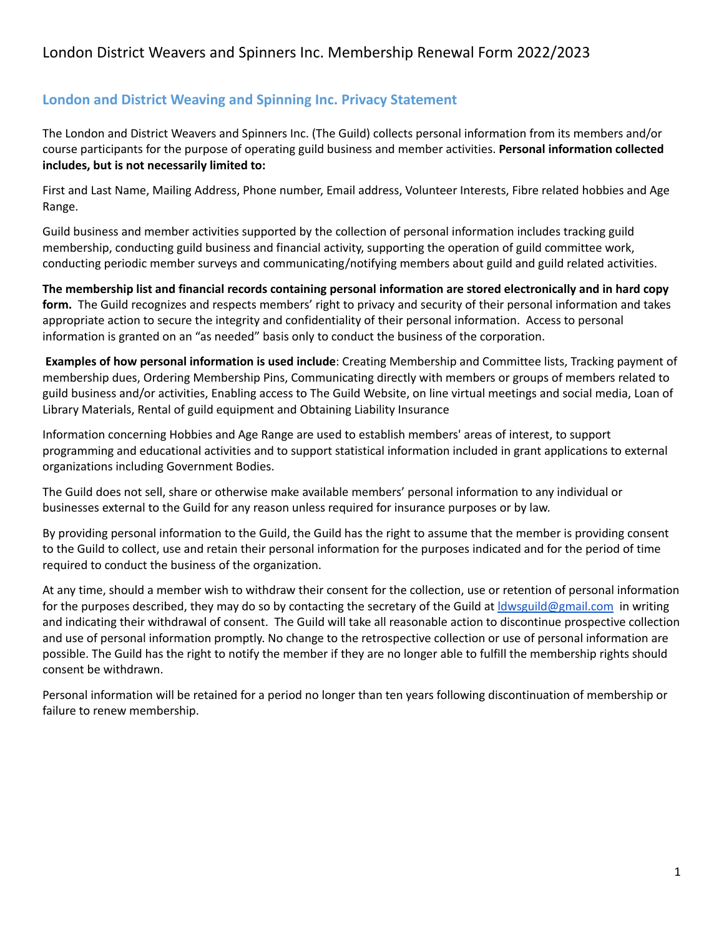## **London and District Weaving and Spinning Inc. Privacy Statement**

The London and District Weavers and Spinners Inc. (The Guild) collects personal information from its members and/or course participants for the purpose of operating guild business and member activities. **Personal information collected includes, but is not necessarily limited to:**

First and Last Name, Mailing Address, Phone number, Email address, Volunteer Interests, Fibre related hobbies and Age Range.

Guild business and member activities supported by the collection of personal information includes tracking guild membership, conducting guild business and financial activity, supporting the operation of guild committee work, conducting periodic member surveys and communicating/notifying members about guild and guild related activities.

The membership list and financial records containing personal information are stored electronically and in hard copy **form.** The Guild recognizes and respects members' right to privacy and security of their personal information and takes appropriate action to secure the integrity and confidentiality of their personal information. Access to personal information is granted on an "as needed" basis only to conduct the business of the corporation.

**Examples of how personal information is used include**: Creating Membership and Committee lists, Tracking payment of membership dues, Ordering Membership Pins, Communicating directly with members or groups of members related to guild business and/or activities, Enabling access to The Guild Website, on line virtual meetings and social media, Loan of Library Materials, Rental of guild equipment and Obtaining Liability Insurance

Information concerning Hobbies and Age Range are used to establish members' areas of interest, to support programming and educational activities and to support statistical information included in grant applications to external organizations including Government Bodies.

The Guild does not sell, share or otherwise make available members' personal information to any individual or businesses external to the Guild for any reason unless required for insurance purposes or by law.

By providing personal information to the Guild, the Guild has the right to assume that the member is providing consent to the Guild to collect, use and retain their personal information for the purposes indicated and for the period of time required to conduct the business of the organization.

At any time, should a member wish to withdraw their consent for the collection, use or retention of personal information for the purposes described, they may do so by contacting the secretary of the Guild at *dwsguild@gmail.com* in writing and indicating their withdrawal of consent. The Guild will take all reasonable action to discontinue prospective collection and use of personal information promptly. No change to the retrospective collection or use of personal information are possible. The Guild has the right to notify the member if they are no longer able to fulfill the membership rights should consent be withdrawn.

Personal information will be retained for a period no longer than ten years following discontinuation of membership or failure to renew membership.